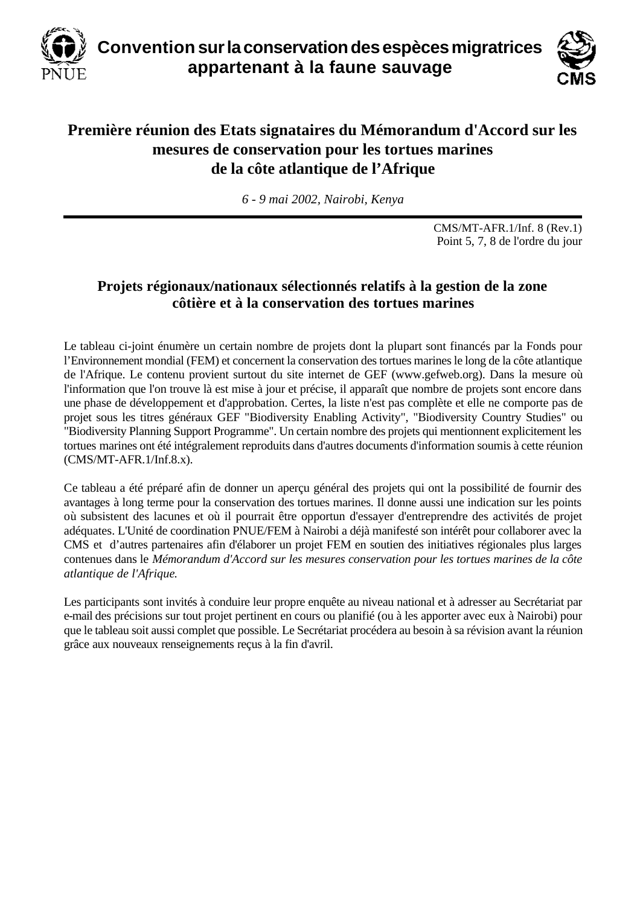



## **Première réunion des Etats signataires du Mémorandum d'Accord sur les mesures de conservation pour les tortues marines de la côte atlantique de l'Afrique**

*6 - 9 mai 2002, Nairobi, Kenya*

CMS/MT-AFR.1/Inf. 8 (Rev.1) Point 5, 7, 8 de l'ordre du jour

## **Projets régionaux/nationaux sélectionnés relatifs à la gestion de la zone côtière et à la conservation des tortues marines**

Le tableau ci-joint énumère un certain nombre de projets dont la plupart sont financés par la Fonds pour l'Environnement mondial (FEM) et concernent la conservation des tortues marines le long de la côte atlantique de l'Afrique. Le contenu provient surtout du site internet de GEF (www.gefweb.org). Dans la mesure où l'information que l'on trouve là est mise à jour et précise, il apparaît que nombre de projets sont encore dans une phase de développement et d'approbation. Certes, la liste n'est pas complète et elle ne comporte pas de projet sous les titres généraux GEF "Biodiversity Enabling Activity", "Biodiversity Country Studies" ou "Biodiversity Planning Support Programme". Un certain nombre des projets qui mentionnent explicitement les tortues marines ont été intégralement reproduits dans d'autres documents d'information soumis à cette réunion (CMS/MT-AFR.1/Inf.8.x).

Ce tableau a été préparé afin de donner un aperçu général des projets qui ont la possibilité de fournir des avantages à long terme pour la conservation des tortues marines. Il donne aussi une indication sur les points où subsistent des lacunes et où il pourrait être opportun d'essayer d'entreprendre des activités de projet adéquates. L'Unité de coordination PNUE/FEM à Nairobi a déjà manifesté son intérêt pour collaborer avec la CMS et d'autres partenaires afin d'élaborer un projet FEM en soutien des initiatives régionales plus larges contenues dans le *Mémorandum d'Accord sur les mesures conservation pour les tortues marines de la côte atlantique de l'Afrique*.

Les participants sont invités à conduire leur propre enquête au niveau national et à adresser au Secrétariat par e-mail des précisions sur tout projet pertinent en cours ou planifié (ou à les apporter avec eux à Nairobi) pour que le tableau soit aussi complet que possible. Le Secrétariat procédera au besoin à sa révision avant la réunion grâce aux nouveaux renseignements reçus à la fin d'avril.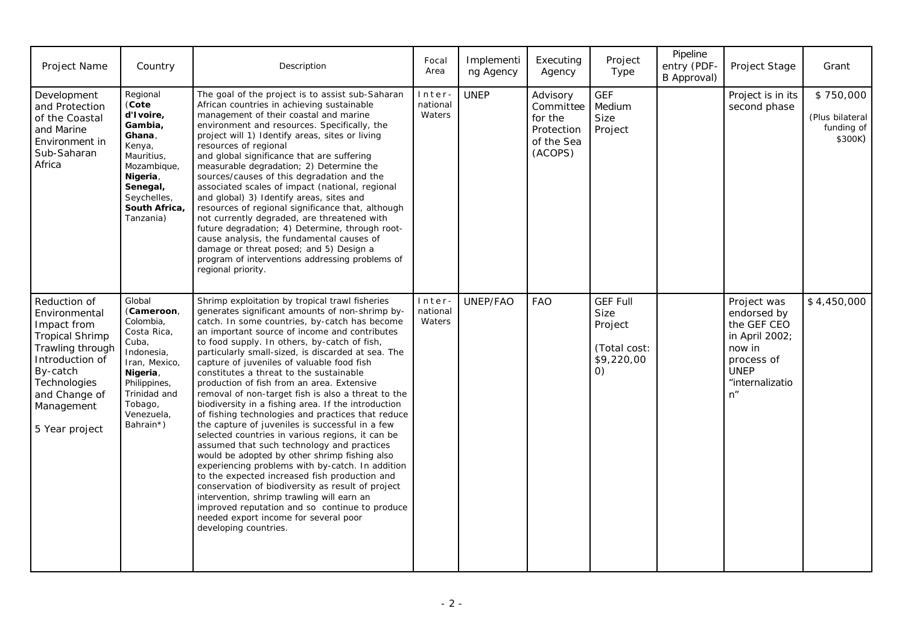| Project Name                                                                                                                                                                               | Country                                                                                                                                                                    | Description                                                                                                                                                                                                                                                                                                                                                                                                                                                                                                                                                                                                                                                                                                                                                                                                                                                                                                                                                                                                                                                                                                                                           | Focal<br>Area                | Implementi<br>ng Agency | Executing<br>Agency                                                      | Project<br>Type                                                                       | Pipeline<br>entry (PDF-<br>B Approval) | Project Stage                                                                                                                | Grant                                                 |
|--------------------------------------------------------------------------------------------------------------------------------------------------------------------------------------------|----------------------------------------------------------------------------------------------------------------------------------------------------------------------------|-------------------------------------------------------------------------------------------------------------------------------------------------------------------------------------------------------------------------------------------------------------------------------------------------------------------------------------------------------------------------------------------------------------------------------------------------------------------------------------------------------------------------------------------------------------------------------------------------------------------------------------------------------------------------------------------------------------------------------------------------------------------------------------------------------------------------------------------------------------------------------------------------------------------------------------------------------------------------------------------------------------------------------------------------------------------------------------------------------------------------------------------------------|------------------------------|-------------------------|--------------------------------------------------------------------------|---------------------------------------------------------------------------------------|----------------------------------------|------------------------------------------------------------------------------------------------------------------------------|-------------------------------------------------------|
| Development<br>and Protection<br>of the Coastal<br>and Marine<br>Environment in<br>Sub-Saharan<br>Africa                                                                                   | Regional<br>(Cote<br>d'Ivoire,<br>Gambia.<br>Ghana,<br>Kenya,<br>Mauritius,<br>Mozambique,<br>Nigeria,<br>Senegal,<br>Seychelles,<br>South Africa,<br>Tanzania)            | The goal of the project is to assist sub-Saharan<br>African countries in achieving sustainable<br>management of their coastal and marine<br>environment and resources. Specifically, the<br>project will 1) Identify areas, sites or living<br>resources of regional<br>and global significance that are suffering<br>measurable degradation; 2) Determine the<br>sources/causes of this degradation and the<br>associated scales of impact (national, regional<br>and global) 3) Identify areas, sites and<br>resources of regional significance that, although<br>not currently degraded, are threatened with<br>future degradation; 4) Determine, through root-<br>cause analysis, the fundamental causes of<br>damage or threat posed; and 5) Design a<br>program of interventions addressing problems of<br>regional priority.                                                                                                                                                                                                                                                                                                                   | Inter-<br>national<br>Waters | <b>UNEP</b>             | Advisory<br>Commit tee<br>for the<br>Protection<br>of the Sea<br>(ACOPS) | <b>GEF</b><br>Medium<br>Size<br>Project                                               |                                        | Project is in its<br>second phase                                                                                            | \$750,000<br>(Plus bilateral<br>funding of<br>\$300K) |
| Reduction of<br>Environmental<br>Impact from<br><b>Tropical Shrimp</b><br>Trawling through<br>Introduction of<br>By-catch<br>Technologies<br>and Change of<br>Management<br>5 Year project | Global<br>(Cameroon,<br>Colombia,<br>Costa Rica,<br>Cuba,<br>Indonesia,<br>Iran, Mexico,<br>Nigeria,<br>Philippines,<br>Trinidad and<br>Tobago,<br>Venezuela,<br>Bahrain*) | Shrimp exploitation by tropical trawl fisheries<br>generates significant amounts of non-shrimp by-<br>catch. In some countries, by-catch has become<br>an important source of income and contributes<br>to food supply. In others, by-catch of fish,<br>particularly small-sized, is discarded at sea. The<br>capture of juveniles of valuable food fish<br>constitutes a threat to the sustainable<br>production of fish from an area. Extensive<br>removal of non-target fish is also a threat to the<br>biodiversity in a fishing area. If the introduction<br>of fishing technologies and practices that reduce<br>the capture of juveniles is successful in a few<br>selected countries in various regions, it can be<br>assumed that such technology and practices<br>would be adopted by other shrimp fishing also<br>experiencing problems with by-catch. In addition<br>to the expected increased fish production and<br>conservation of biodiversity as result of project<br>intervention, shrimp trawling will earn an<br>improved reputation and so continue to produce<br>needed export income for several poor<br>developing countries. | Inter-<br>national<br>Waters | UNEP/FAO                | <b>FAO</b>                                                               | <b>GEF Full</b><br>Size<br>Project<br>(Total cost:<br>\$9,220,00<br>$\left( 0\right)$ |                                        | Project was<br>endorsed by<br>the GEF CEO<br>in April 2002;<br>now in<br>process of<br><b>UNEP</b><br>"internalizatio<br>n'' | \$4,450,000                                           |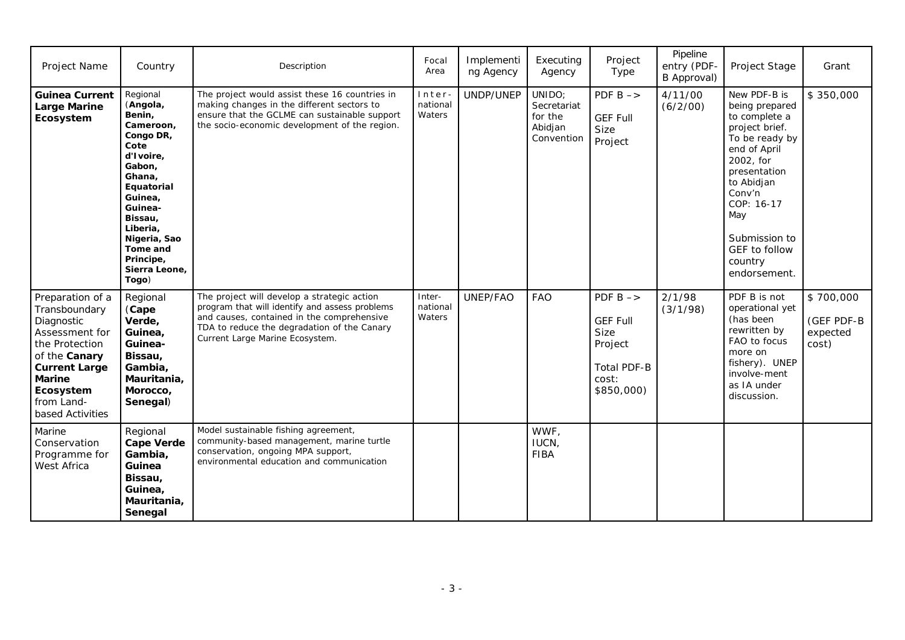| Project Name                                                                                                                                                                          | Country                                                                                                                                                                                                                         | Description                                                                                                                                                                                                                   | Focal<br>Area                | Implementi<br>ng Agency | Executing<br>Agency                                       | Project<br>Type                                                                                               | Pipeline<br>entry (PDF-<br>B Approval) | Project Stage                                                                                                                                                                                                                              | Grant                                        |
|---------------------------------------------------------------------------------------------------------------------------------------------------------------------------------------|---------------------------------------------------------------------------------------------------------------------------------------------------------------------------------------------------------------------------------|-------------------------------------------------------------------------------------------------------------------------------------------------------------------------------------------------------------------------------|------------------------------|-------------------------|-----------------------------------------------------------|---------------------------------------------------------------------------------------------------------------|----------------------------------------|--------------------------------------------------------------------------------------------------------------------------------------------------------------------------------------------------------------------------------------------|----------------------------------------------|
| <b>Guinea Current</b><br><b>Large Marine</b><br>Ecosystem                                                                                                                             | Regional<br>(Angola,<br>Benin,<br>Cameroon,<br>Congo DR,<br>Cote<br>d'Ivoire,<br>Gabon,<br>Ghana,<br>Equatorial<br>Guinea,<br>Guinea-<br>Bissau,<br>Liberia,<br>Nigeria, Sao<br>Tome and<br>Principe,<br>Sierra Leone,<br>Togo) | The project would assist these 16 countries in<br>making changes in the different sectors to<br>ensure that the GCLME can sustainable support<br>the socio-economic development of the region.                                | Inter<br>national<br>Waters  | UNDP/UNEP               | UNIDO;<br>Secretariat<br>for the<br>Abidjan<br>Convention | PDF $B \rightarrow$<br><b>GEF Full</b><br><b>Size</b><br>Project                                              | 4/11/00<br>(6/2/00)                    | New PDF-B is<br>being prepared<br>to complete a<br>project brief.<br>To be ready by<br>end of April<br>2002, for<br>presentation<br>to Abidjan<br>Conv'n<br>COP: 16-17<br>May<br>Submission to<br>GEF to follow<br>country<br>endorsement. | \$350,000                                    |
| Preparation of a<br>Transboundary<br>Diagnostic<br>Assessment for<br>the Protection<br>of the Canary<br><b>Current Large</b><br>Marine<br>Ecosystem<br>from Land-<br>based Activities | Regional<br>(Cape<br>Verde,<br>Guinea,<br>Guinea-<br>Bissau,<br>Gambia,<br>Mauritania,<br>Morocco,<br>Senegal)                                                                                                                  | The project will develop a strategic action<br>program that will identify and assess problems<br>and causes, contained in the comprehensive<br>TDA to reduce the degradation of the Canary<br>Current Large Marine Ecosystem. | Inter-<br>national<br>Waters | UNEP/FAO                | <b>FAO</b>                                                | PDF $B \rightarrow$<br><b>GEF Full</b><br><b>Size</b><br>Project<br><b>Total PDF-B</b><br>cost:<br>\$850,000) | 2/1/98<br>(3/1/98)                     | PDF B is not<br>operational yet<br>(has been<br>rewritten by<br>FAO to focus<br>more on<br>fishery). UNEP<br>involve-ment<br>as IA under<br>discussion.                                                                                    | \$700,000<br>(GEF PDF-B<br>expected<br>cost) |
| Marine<br>Conservation<br>Programme for<br>West Africa                                                                                                                                | Regional<br><b>Cape Verde</b><br>Gambia,<br>Guinea<br>Bissau,<br>Guinea,<br>Mauritania,<br>Senegal                                                                                                                              | Model sustainable fishing agreement,<br>community-based management, marine turtle<br>conservation, ongoing MPA support,<br>environmental education and communication                                                          |                              |                         | WWF,<br>IUCN,<br><b>FIBA</b>                              |                                                                                                               |                                        |                                                                                                                                                                                                                                            |                                              |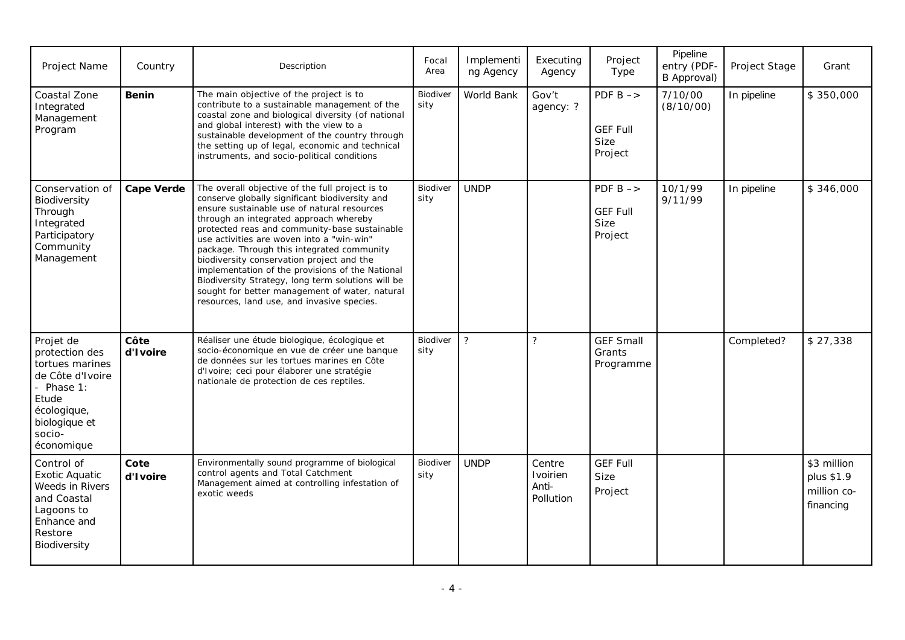| Project Name                                                                                                                                      | Country           | Description                                                                                                                                                                                                                                                                                                                                                                                                                                                                                                                                                                                   | Focal<br>Area    | Implementi<br>ng Agency | Executing<br>Agency                      | Project<br>Type                                           | Pipeline<br>entry (PDF-<br>B Approval) | Project Stage | Grant                                                 |
|---------------------------------------------------------------------------------------------------------------------------------------------------|-------------------|-----------------------------------------------------------------------------------------------------------------------------------------------------------------------------------------------------------------------------------------------------------------------------------------------------------------------------------------------------------------------------------------------------------------------------------------------------------------------------------------------------------------------------------------------------------------------------------------------|------------------|-------------------------|------------------------------------------|-----------------------------------------------------------|----------------------------------------|---------------|-------------------------------------------------------|
| Coastal Zone<br>Integrated<br>Management<br>Program                                                                                               | Benin             | The main objective of the project is to<br>contribute to a sustainable management of the<br>coastal zone and biological diversity (of national<br>and global interest) with the view to a<br>sustainable development of the country through<br>the setting up of legal, economic and technical<br>instruments, and socio-political conditions                                                                                                                                                                                                                                                 | Biodiver<br>sity | World Bank              | Gov't<br>agency: ?                       | PDF $B \rightarrow$<br><b>GEF Full</b><br>Size<br>Project | 7/10/00<br>(8/10/00)                   | In pipeline   | \$350,000                                             |
| Conservation of<br>Biodiversity<br>Through<br>Integrated<br>Participatory<br>Community<br>Management                                              | <b>Cape Verde</b> | The overall objective of the full project is to<br>conserve globally significant biodiversity and<br>ensure sustainable use of natural resources<br>through an integrated approach whereby<br>protected reas and community-base sustainable<br>use activities are woven into a "win-win"<br>package. Through this integrated community<br>biodiversity conservation project and the<br>implementation of the provisions of the National<br>Biodiversity Strategy, long term solutions will be<br>sought for better management of water, natural<br>resources, land use, and invasive species. | Biodiver<br>sity | <b>UNDP</b>             |                                          | PDF $B \rightarrow$<br><b>GEF Full</b><br>Size<br>Project | 10/1/99<br>9/11/99                     | In pipeline   | \$346,000                                             |
| Projet de<br>protection des<br>tortues marines<br>de Côte d'Ivoire<br>- Phase 1:<br>Etude<br>écologique,<br>biologique et<br>socio-<br>économique | Côte<br>d'Ivoire  | Réaliser une étude biologique, écologique et<br>socio-économique en vue de créer une banque<br>de données sur les tortues marines en Côte<br>d'Ivoire; ceci pour élaborer une stratégie<br>nationale de protection de ces reptiles.                                                                                                                                                                                                                                                                                                                                                           | Biodiver<br>sity | $\overline{?}$          | $\overline{?}$                           | <b>GEF Small</b><br>Grants<br>Programme                   |                                        | Completed?    | \$27,338                                              |
| Control of<br><b>Exotic Aquatic</b><br>Weeds in Rivers<br>and Coastal<br>Lagoons to<br>Enhance and<br>Restore<br>Biodiversity                     | Cote<br>d'Ivoire  | Environmentally sound programme of biological<br>control agents and Total Catchment<br>Management aimed at controlling infestation of<br>exotic weeds                                                                                                                                                                                                                                                                                                                                                                                                                                         | Biodiver<br>sity | <b>UNDP</b>             | Centre<br>Ivoirien<br>Anti-<br>Pollution | <b>GEF Full</b><br>Size<br>Project                        |                                        |               | \$3 million<br>plus \$1.9<br>million co-<br>financing |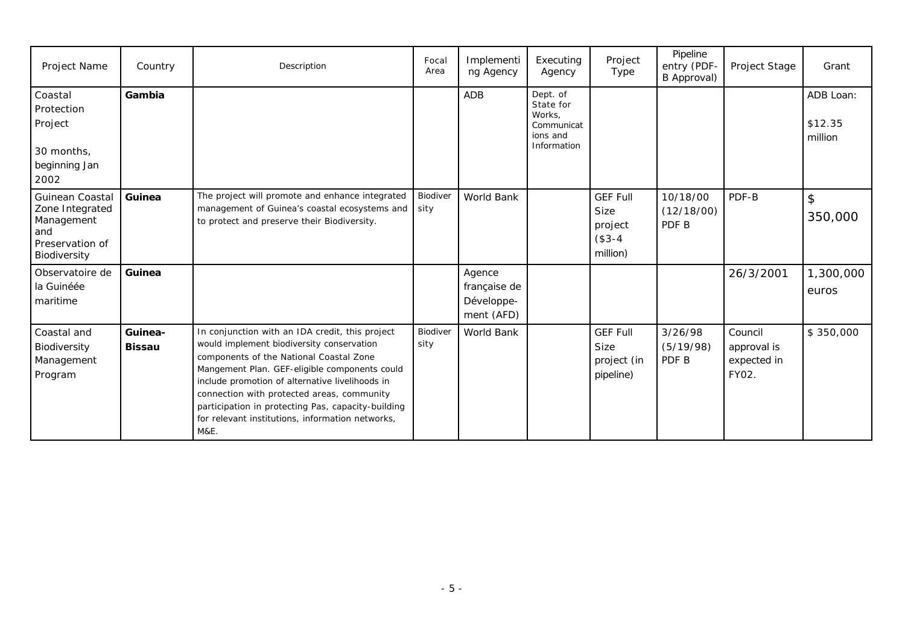| Project Name                                                                               | Country                  | Description                                                                                                                                                                                                                                                                                                                                                                                                 | Focal<br>Area    | Implementi<br>ng Agency                            | Executing<br>Agency                                                      | Project<br>Type                                                   | Pipeline<br>entry (PDF-<br>B Approval) | Project Stage                                  | Grant                           |
|--------------------------------------------------------------------------------------------|--------------------------|-------------------------------------------------------------------------------------------------------------------------------------------------------------------------------------------------------------------------------------------------------------------------------------------------------------------------------------------------------------------------------------------------------------|------------------|----------------------------------------------------|--------------------------------------------------------------------------|-------------------------------------------------------------------|----------------------------------------|------------------------------------------------|---------------------------------|
| Coastal<br>Protection<br>Project<br>30 months,<br>beginning Jan<br>2002                    | Gambia                   |                                                                                                                                                                                                                                                                                                                                                                                                             |                  | <b>ADB</b>                                         | Dept. of<br>State for<br>Works.<br>Communicat<br>ions and<br>Information |                                                                   |                                        |                                                | ADB Loan:<br>\$12.35<br>million |
| Guinean Coastal<br>Zone Integrated<br>Management<br>and<br>Preservation of<br>Biodiversity | Guinea                   | The project will promote and enhance integrated<br>management of Guinea's coastal ecosystems and<br>to protect and preserve their Biodiversity.                                                                                                                                                                                                                                                             | Biodiver<br>sity | World Bank                                         |                                                                          | <b>GEF Full</b><br><b>Size</b><br>project<br>$($3-4)$<br>million) | 10/18/00<br>(12/18/00)<br>PDF B        | PDF-B                                          | $\mathsf{\$}$<br>350,000        |
| Observatoire de<br>la Guinéée<br>maritime                                                  | Guinea                   |                                                                                                                                                                                                                                                                                                                                                                                                             |                  | Agence<br>française de<br>Développe-<br>ment (AFD) |                                                                          |                                                                   |                                        | 26/3/2001                                      | 1,300,000<br>euros              |
| Coastal and<br>Biodiversity<br>Management<br>Program                                       | Guinea-<br><b>Bissau</b> | In conjunction with an IDA credit, this project<br>would implement biodiversity conservation<br>components of the National Coastal Zone<br>Mangement Plan. GEF-eligible components could<br>include promotion of alternative livelihoods in<br>connection with protected areas, community<br>participation in protecting Pas, capacity-building<br>for relevant institutions, information networks,<br>M&E. | Biodiver<br>sity | World Bank                                         |                                                                          | <b>GEF Full</b><br>Size<br>project (in<br>pipeline)               | 3/26/98<br>(5/19/98)<br>PDF B          | Council<br>approval is<br>expected in<br>FY02. | \$350,000                       |